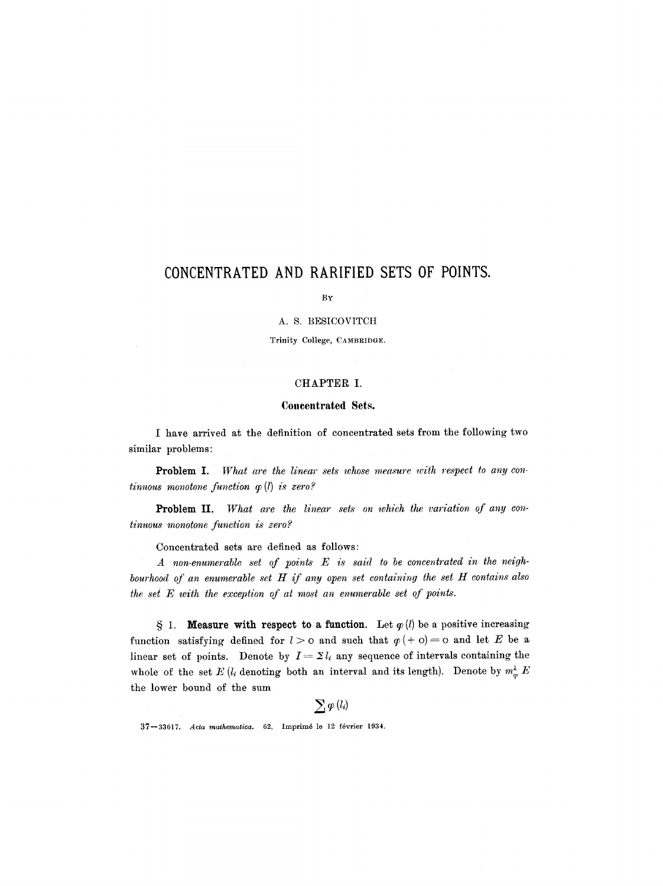# **CONCENTRATED AND RARIFIED SETS OF POINTS.**

BY

#### A. S. BESICOVITCH

Trinity College, CAMBRIDGE.

#### CHAPTER I.

#### **Concentrated Sets.**

I have arrived at the definition of concentrated sets from the following two similar problems:

Problem I. *What are the linear sets whose measure with respect to any continuous monotone function q~ (1) is zero?* 

Problem II. *What are the linear sets on which the variation of any continuous monotone function is zero?* 

Concentrated sets are defined as follows:

*A non-enumerable set of points E is said to be concentrated in the neighbourhood of an enumerable set H if any open set containing the set H contains also the set E with the exception of at most an enumerable set of points.* 

§ 1. **Measure with respect to a function.** Let  $\varphi$  (*l*) be a positive increasing function satisfying defined for  $l > o$  and such that  $\varphi (+ o) = o$  and let E be a linear set of points. Denote by  $I = \sum l_i$  any sequence of intervals containing the whole of the set  $E$  ( $l_i$  denoting both an interval and its length). Denote by  $m_{\varphi}^{\lambda} E$ the lower bound of the sum

37-33617. *Acta mathematica.* 62. Imprimé le 12 février 1934.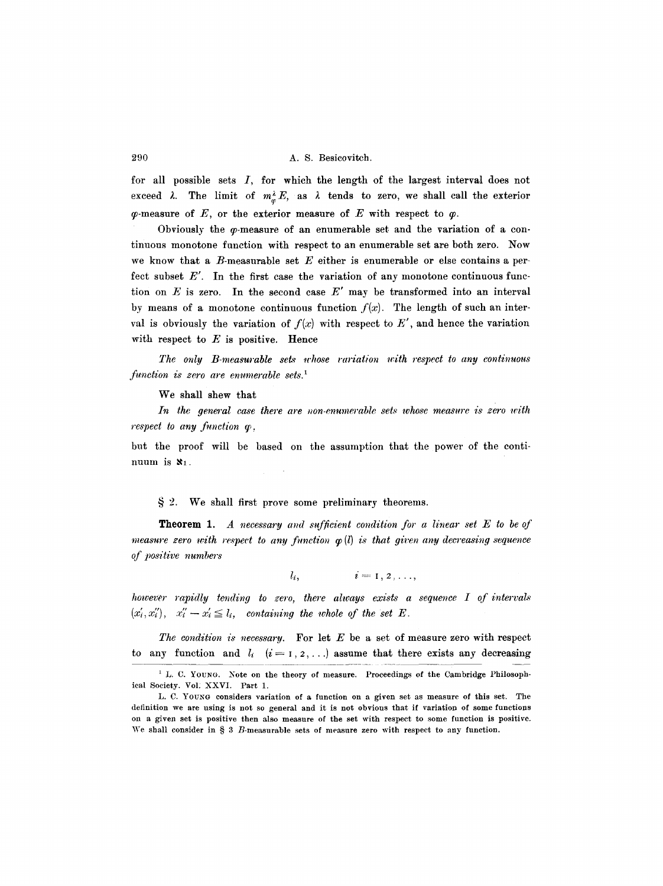for all possible sets  $I$ , for which the length of the largest interval does not exceed  $\lambda$ . The limit of  $m_{\varphi}^{\lambda} E$ , as  $\lambda$  tends to zero, we shall call the exterior  $\varphi$ -measure of E, or the exterior measure of E with respect to  $\varphi$ .

Obviously the  $\varphi$ -measure of an enumerable set and the variation of a continuous monotone function with respect to an enumerable set are both zero. Now we know that a  $B$ -measurable set  $E$  either is enumerable or else contains a perfect subset E'. In the first case the variation of any monotone continuous function on  $E$  is zero. In the second case  $E'$  may be transformed into an interval by means of a monotone continuous function  $f(x)$ . The length of such an interval is obviously the variation of  $f(x)$  with respect to  $E'$ , and hence the variation with respect to  $E$  is positive. Hence

*The only B-measurable sets whose rariation with respect to any continuous function is zero are enumerable sets. 1* 

We shall shew that

In the general case there are non-enumerable sets whose measure is zero with *respect to any function*  $\varphi$ *,* 

but the proof will be based on the assumption that the power of the continuum is  $x_1$ .

#### $\S 2$ . We shall first prove some preliminary theorems.

**Theorem 1.** A necessary and sufficient condition for a linear set  $E$  to be of *measure zero with respect to any function*  $\varphi(l)$  *is that given any decreasing sequence of positive numbers* 

$$
l_i, \qquad i=1,2,\ldots,
$$

*however rapidly tending to zero, there always exists a sequence I of intervals*  $(x'_i, x''_i), x''_i - x'_i \leq l_i$ , containing the whole of the set E.

to any function and  $l_i$   $(i = 1, 2, \ldots)$  assume that there exists any decreasing *The condition is necessary.* For let E be a set of measure zero with respect

<sup>&</sup>lt;sup>1</sup> L. C. YOUNG. Note on the theory of measure. Proceedings of the Cambridge Philosophical Society. Vol: XXVI. Part 1.

L. C. Youxo considers variation of a function on a given set as measure of this set. The definition we are using is not so general and it is not obvious that if variation of some functions on a given set is positive then also measure of the set with respect to some function is positive. We shall consider in  $\S$  3  $B$ -measurable sets of measure zero with respect to any function.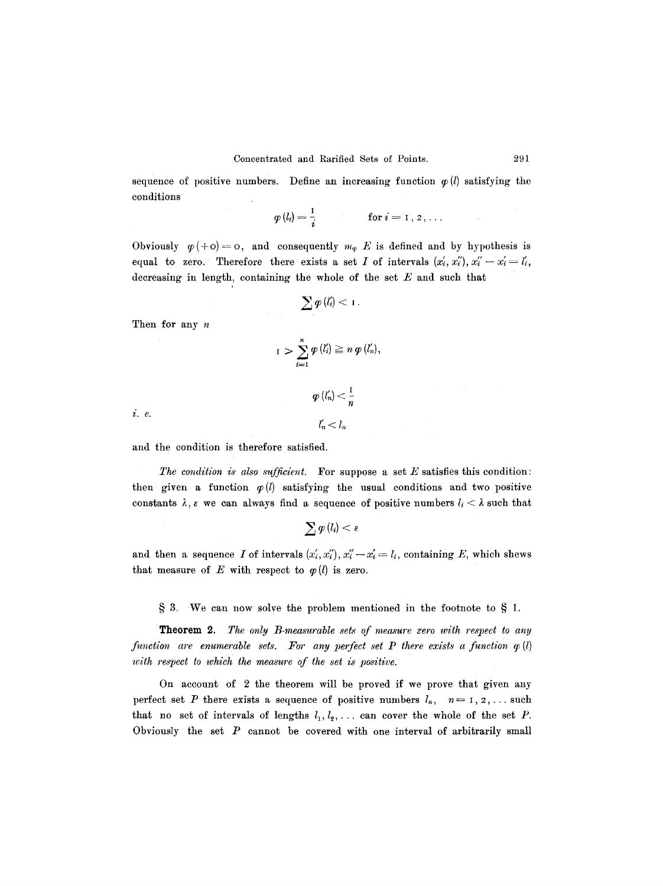sequence of positive numbers. Define an increasing function  $\varphi$  (*l*) satisfying the conditions

$$
\varphi(l_i) = \frac{1}{i} \qquad \qquad \text{for } i = 1, 2, \ldots
$$

Obviously  $\varphi(+o) = o$ , and consequently  $m_{\varphi}$  E is defined and by hypothesis is equal to zero. Therefore there exists a set I of intervals  $(x'_i, x''_i), x''_i - x'_i = l'_i$ , decreasing in length, containing the whole of the set  $E$  and such that

$$
\sum \varphi\left(l_{i}'\right) < 1.
$$

Then for any n

$$
I \ \sum_{i=1}^n \varphi(l'_i) \geq n \varphi(l'_n),
$$

 $(l'_n) < \frac{1}{n}$ 

 $l'_n < l_n$ 

i. e.

and the condition is therefore satisfied.

*The condition is also sufficient.* For suppose a set E satisfies this condition: then given a function  $p(l)$  satisfying the usual conditions and two positive constants  $\lambda$ ,  $\epsilon$  we can always find a sequence of positive numbers  $l_i < \lambda$  such that

$$
\sum\varphi\left(l_{i}\right)<\varepsilon
$$

and then a sequence I of intervals  $(x'_i, x''_i), x''_i - x'_i = l_i$ , containing E, which shews that measure of E with respect to  $\varphi$  (*l*) is zero.

 $\S 3$ . We can now solve the problem mentioned in the footnote to  $\S 1$ .

Theorem 2. *The only B-measurable sets of measure zero with respect to any function are enumerable sets. For any perfect set P there exists a function*  $q(l)$ *with respect to which the measure of the set is positive.* 

On account of 2 the theorem will be proved if we prove that given any perfect set P there exists a sequence of positive numbers  $l_n$ ,  $n=1, 2, \ldots$  such that no set of intervals of lengths  $l_1, l_2, \ldots$  can cover the whole of the set P. Obviously the set  $P$  cannot be covered with one interval of arbitrarily small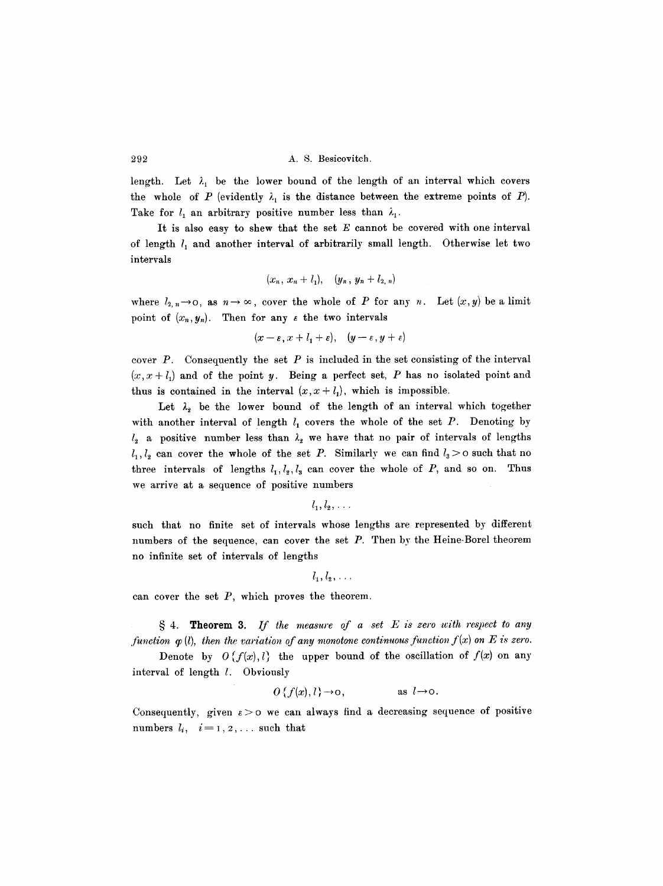length. Let  $\lambda_1$  be the lower bound of the length of an interval which covers the whole of P (evidently  $\lambda_1$  is the distance between the extreme points of P). Take for  $l_1$  an arbitrary positive number less than  $\lambda_1$ .

It is also easy to shew that the set  $E$  cannot be covered with one interval of length  $l_1$  and another interval of arbitrarily small length. Otherwise let two intervals

$$
(x_n, x_n + l_1), (y_n, y_n + l_2, n)
$$

where  $l_{2, n} \rightarrow \infty$ , as  $n \rightarrow \infty$ , cover the whole of P for any n. Let  $(x, y)$  be a limit point of  $(x_n, y_n)$ . Then for any  $\varepsilon$  the two intervals

$$
(x-\varepsilon, x+l_1+\varepsilon), (y-\varepsilon, y+\varepsilon)
$$

cover  $P$ . Consequently the set  $P$  is included in the set consisting of the interval  $(x, x + l_1)$  and of the point y. Being a perfect set, P has no isolated point and thus is contained in the interval  $(x, x + l_1)$ , which is impossible.

Let  $\lambda_2$  be the lower bound of the length of an interval which together with another interval of length  $l_1$  covers the whole of the set P. Denoting by  $l_2$  a positive number less than  $\lambda_2$  we have that no pair of intervals of lengths  $l_1, l_2$  can cover the whole of the set P. Similarly we can find  $l_3 > 0$  such that no three intervals of lengths  $l_1, l_2, l_3$  can cover the whole of P, and so on. Thus we arrive at a sequence of positive numbers

 $l_1, l_2, \ldots$ 

such that no finite set of intervals whose lengths are represented by different numbers of the sequence, can cover the set P. Then by the Heine-Borel theorem no infinite set of intervals of lengths

$$
l_1, l_2, \ldots
$$

can cover the set  $P$ , which proves the theorem.

w 4. Theorem 3. *If the measure of a set E is zero with respect to any function*  $\varphi$  *(l), then the variation of any monotone continuous function f(x) on E is zero.* 

Denote by  $O(f(x),l)$  the upper bound of the oscillation of  $f(x)$  on any interval of length 1. Obviously

$$
O\{f(x), l\} \to o, \qquad \text{as } l \to o.
$$

Consequently, given  $\varepsilon > 0$  we can always find a decreasing sequence of positive numbers  $l_i$ ,  $i=1, 2, \ldots$  such that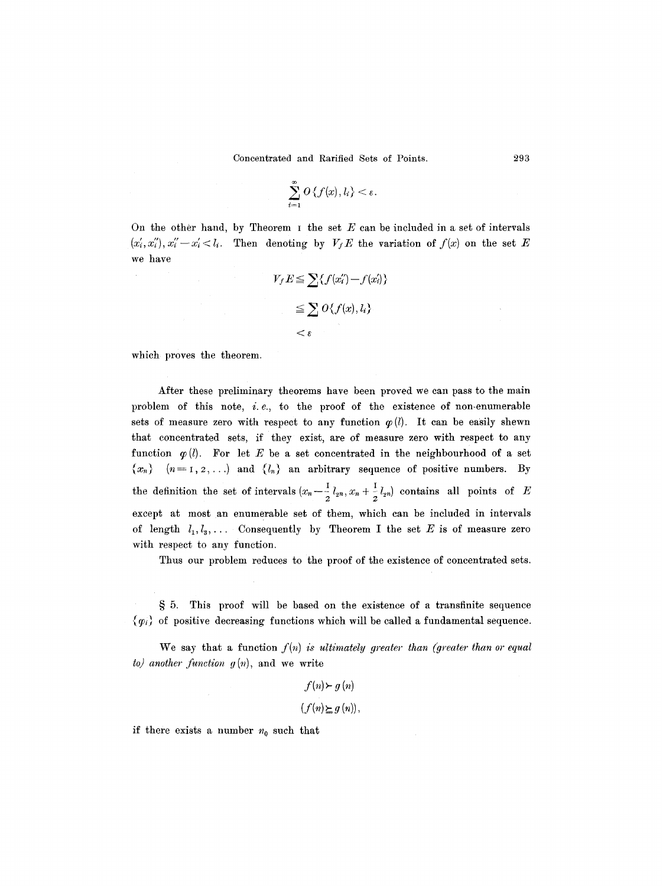$$
\sum_{i=1}^{\infty} O\left\{f(x), l_i\right\} < \varepsilon.
$$

On the other hand, by Theorem  $I$  the set  $E$  can be included in a set of intervals  $(x'_i, x''_i), x''_i - x'_i < l_i$ . Then denoting by  $V_f E$  the variation of  $f(x)$  on the set E we have

$$
V_f E \le \sum \{f(x_i'') - f(x_i')\}
$$
  

$$
\le \sum O\{f(x), l_i\}
$$
  

$$
< \varepsilon
$$

which proves the theorem.

After these preliminary theorems have been proved we can pass to the main problem of this note,  $i.e.,$  to the proof of the existence of non-enumerable sets of measure zero with respect to any function  $\varphi(l)$ . It can be easily shewn that concentrated sets, if they exist, are of measure zero with respect to any function  $\varphi(l)$ . For let E be a set concentrated in the neighbourhood of a set  $\{x_n\}$   $(n=1, 2, ...)$  and  $\{l_n\}$  an arbitrary sequence of positive numbers. By the definition the set of intervals  $(x_n-\frac{1}{2}l_{2n}, x_n+\frac{1}{2}l_{2n})$  contains all points of E except at most an enumerable set of them, which can be included in intervals of length  $l_1, l_3, \ldots$  Consequently by Theorem I the set E is of measure zero with respect to any function.

Thus our problem reduces to the proof of the existence of concentrated sets.

§ 5. This proof will be based on the existence of a transfinite sequence  ${~\langle} \varphi_i {\rangle}$  of positive decreasing functions which will be called a fundamental sequence.

We say that a function  $f(n)$  *is ultimately greater than (greater than or equal*  $to$  *another function*  $g(n)$ *, and we write* 

> $f(n)$   $\succ$  g  $(n)$  $(f(n) \succeq g(n)),$

if there exists a number  $n_0$  such that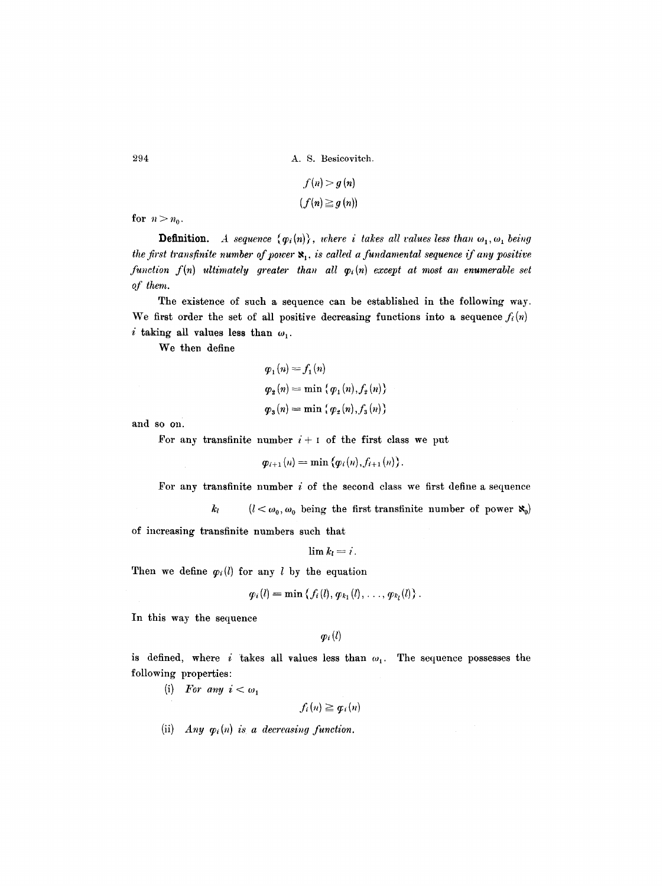$$
f(n) > g(n)
$$
  

$$
(f(n) \geq g(n))
$$

for  $n > n_0$ .

**Definition.** *A sequence*  $\{\varphi_i(n)\}\$ , where *i takes all values less than*  $\omega_1, \omega_1$  being *the first transfinite number of power*  $\mathbf{x}_1$ *, is called a fundamental sequence if any positive function*  $f(n)$  *ultimately greater than all*  $\varphi_i(n)$  *except at most an enumerable set of them.* 

The existence of such a sequence can be established in the following way. We first order the set of all positive decreasing functions into a sequence  $f_i(n)$ i taking all values less than  $\omega_1$ .

We then define

$$
\varphi_1(n) = f_1(n)
$$
  
\n
$$
\varphi_2(n) = \min \{ \varphi_1(n), f_2(n) \}
$$
  
\n
$$
\varphi_3(n) = \min \{ \varphi_2(n), f_3(n) \}
$$

and so on.

For any transfinite number  $i + 1$  of the first class we put

$$
\varphi_{i+1}(n)=\min \{\varphi_i(n),f_{i+1}(n)\}.
$$

For any transfinite number  $i$  of the second class we first define a sequence

 $k_l$  ( $l < \omega_0, \omega_0$  being the first transfinite number of power  $\aleph_0$ ) of increasing transfinite numbers such that

$$
\lim k_l=i.
$$

Then we define  $\varphi_i(l)$  for any l by the equation

$$
\varphi_i(l) = \min \left\{ f_i(l), \varphi_{k_1}(l), \ldots, \varphi_{k_l}(l) \right\}.
$$

In this way the sequence

 $\mathbf{p}_i(l)$ 

is defined, where i takes all values less than  $\omega_1$ . The sequence possesses the following properties:

(i) For any  $i < \omega_1$ 

 $f_i(n) \geq \boldsymbol{q}_i(n)$ 

(ii)  $Any \varphi_i(n)$  is a decreasing function.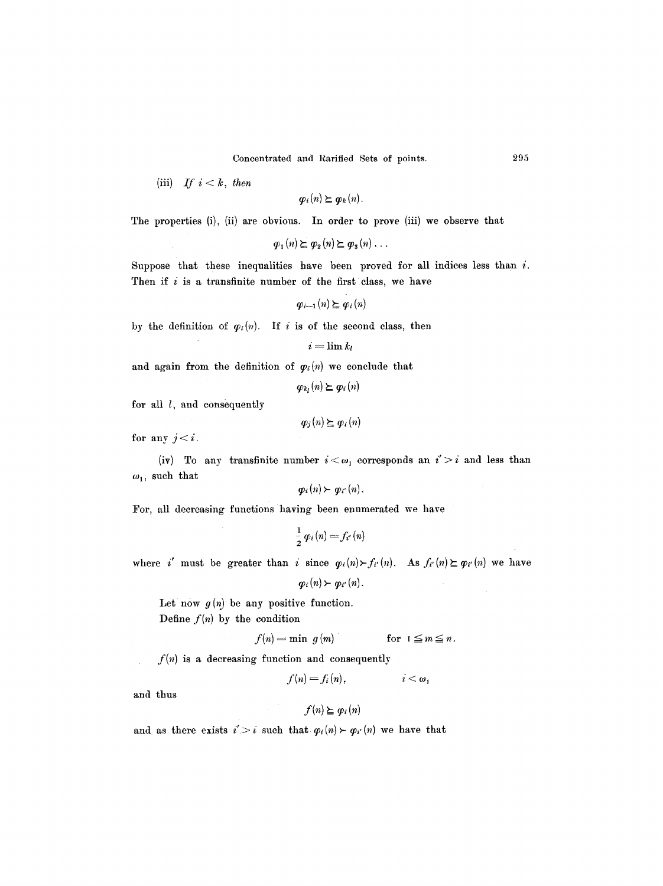Concentrated and Rarified Sets of points. 295

(iii) If  $i < k$ , then

 $\varphi_i(n) \succeq \varphi_k(n)$ .

The properties (i), (ii) are obvious. In order to prove (iii) we observe that

$$
\varphi_1(n) \succeq \varphi_2(n) \succeq \varphi_3(n) \ldots
$$

Suppose that these inequalities have been proved for all indices less than  $i$ . Then if  $i$  is a transfinite number of the first class, we have

$$
\varphi_{i-1}(n) \succeq \varphi_i(n)
$$

by the definition of  $\varphi_i(n)$ . If i is of the second class, then

$$
i=\lim k_l
$$

and again from the definition of  $\varphi_i(n)$  we conclude that

$$
\varphi_{k_l}(n) \succeq \varphi_i(n)
$$

for all  $l$ , and consequently

$$
\varphi_j(n) \succeq \varphi_i(n)
$$

for any  $j < i$ .

(iv) To any transfinite number  $i < \omega_1$  corresponds an  $i' > i$  and less than  $\omega_1$ , such that

$$
p_i(n) \succ q_{i'}(n).
$$

For, all decreasing functions having been enumerated we have

$$
\frac{1}{2}\,\varphi_i\,(n)=f_{i'}\,(n)
$$

where i must be greater than i since  $\varphi_i(n) \succ f'_{i'}(n)$ . As  $f_{i'}(n) \succeq \varphi_{i'}(n)$  we have

$$
\varphi_i(n)\succ \varphi_{i'}(n).
$$

Let now  $g(n)$  be any positive function.

Define  $f(n)$  by the condition

$$
f(n) = \min \ g(m) \qquad \text{for } 1 \leq m \leq n.
$$

 $f(n)$  is a decreasing function and consequently

$$
f(n) = f_i(n), \qquad i < \omega_1
$$

and thus

## $f(n) \succeq \varphi_i(n)$

and as there exists  $i' > i$  such that  $\varphi_i(n) \succ \varphi_{i'}(n)$  we have that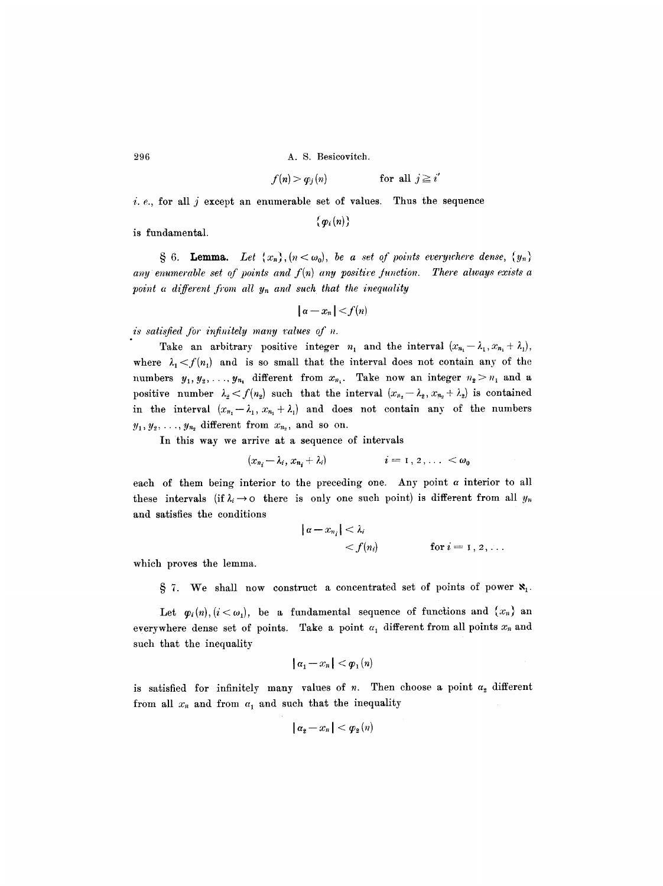9.96 A.S. Besicovitch.

$$
f(n) > \varphi_j(n) \qquad \text{for all } j \geq i'
$$

i.  $e$ , for all j except an enumerable set of values. Thus the sequence

is fundamental.

§ 6. **Lemma.** Let  $\{x_n\}$ ,  $(n < \omega_0)$ , be a set of points everywhere dense,  $\{y_n\}$ any enumerable set of points and  $f(n)$  any positive function. There always exists a *point a different from all*  $y_n$  *and such that the inequality* 

 $\{ \varphi_i(n) \}$ 

$$
|a-x_n|
$$

*is satisfied for infinitely many values of n.* 

Take an arbitrary positive integer  $n_1$  and the interval  $(x_{n_1} - \lambda_1, x_{n_1} + \lambda_1)$ , where  $\lambda_1 < f(n_1)$  and is so small that the interval does not contain any of the numbers  $y_1, y_2, \ldots, y_{n_1}$  different from  $x_{n_1}$ . Take now an integer  $n_2 > n_1$  and a positive number  $\lambda_2 < f(n_2)$  such that the interval  $(x_{n_2}-\lambda_2, x_{n_2}+\lambda_2)$  is contained in the interval  $(x_{n_1}-\lambda_1, x_{n_1}+\lambda_1)$  and does not contain any of the numbers  $y_1, y_2, \ldots, y_{n_2}$  different from  $x_{n_2}$ , and so on.

In this way we arrive at a sequence of intervals

$$
(x_{n_i}-\lambda_i,x_{n_i}+\lambda_i) \qquad \qquad i=1,2,\ldots < \omega_0
$$

each of them being interior to the preceding one. Any point  $\alpha$  interior to all these intervals (if  $\lambda_i \rightarrow o$  there is only one such point) is different from all  $y_n$ and satisfies the conditions

$$
|\alpha - x_{n_i}| < \lambda_i
$$
  

$$
< f(n_i)
$$
 for  $i = 1, 2, ...$ 

which proves the lemma.

 $\S$  7. We shall now construct a concentrated set of points of power  $\mathbf{x}_{1}$ .

Let  $\varphi_i(n), (i < \omega_1)$ , be a fundamental sequence of functions and  $\{x_n\}$  an everywhere dense set of points. Take a point  $\alpha_1$  different from all points  $x_n$  and such that the inequality

$$
|a_1-x_n|<\varphi_1(n)
$$

is satisfied for infinitely many values of  $n$ . Then choose a point  $\alpha_2$  different from all  $x_n$  and from  $a_1$  and such that the inequality

$$
|a_2-x_n|<\varphi_2(n)
$$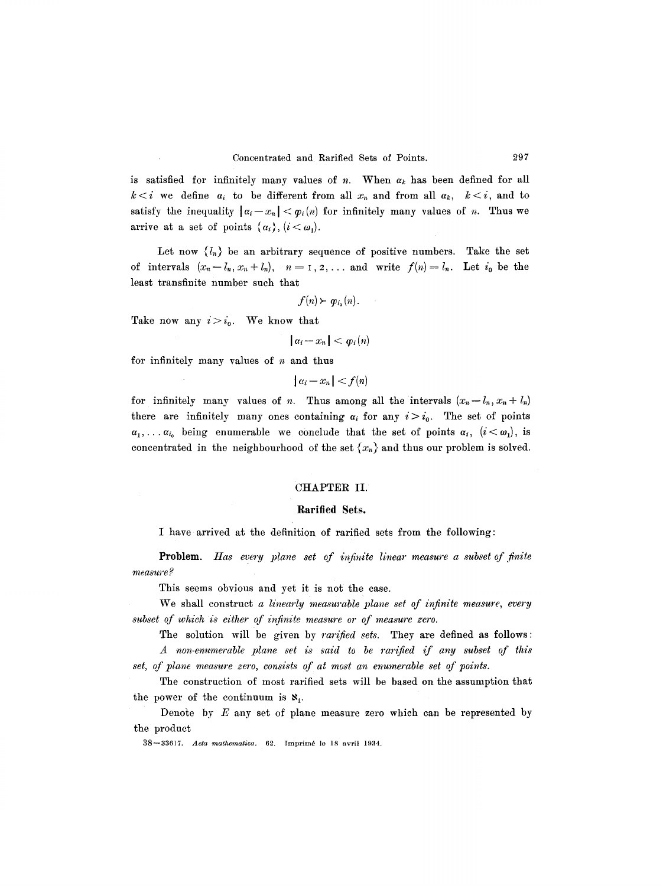is satisfied for infinitely many values of n. When  $\alpha_k$  has been defined for all  $k < i$  we define  $\alpha_i$  to be different from all  $x_n$  and from all  $\alpha_k$ ,  $k < i$ , and to satisfy the inequality  $| \alpha_i - x_n | < \varphi_i(n)$  for infinitely many values of *n*. Thus we arrive at a set of points  $\{\alpha_i\}, (i < \omega_1)$ .

Let now  $\{l_n\}$  be an arbitrary sequence of positive numbers. Take the set of intervals  $(x_n-l_n, x_n+l_n)$ ,  $n=1,2,...$  and write  $f(n)=l_n$ . Let  $i_0$  be the least transfinite number such that

$$
f(n) \succ \varphi_{i_0}(n).
$$

Take now any  $i>i_0$ . We know that

 $|a_i-x_n| < \varphi_i(n)$ 

for infinitely many values of  $n$  and thus

 $|a_i - x_n| < f(n)$ 

for infinitely many values of *n*. Thus among all the intervals  $(x_n - l_n, x_n + l_n)$ there are infinitely many ones containing  $\alpha_i$  for any  $i>i_0$ . The set of points  $\alpha_1,\ldots,\alpha_{i_0}$  being enumerable we conclude that the set of points  $\alpha_i$ ,  $(i<\omega_1)$ , is concentrated in the neighbourhood of the set  $\{x_n\}$  and thus our problem is solved.

### CHAPTER II.

#### **Rarified Sets.**

I have arrived at the definition of rarified sets from the following:

Problem. Has every plane set of infinite linear measure a subset of finite *measure ?* 

This seems obvious and yet it is not the case.

We shall construct *a linearly measurable plane set of infinite measure, every subset of which is either of infinite measure or of measure zero.* 

The solution will be given by *rarified sets.* They are defined as follows: *A non-enumerable plane set is said to be rarified if any subset of this set, of plane measure zero, consists of at most an euumerable set of points.* 

The construction of most rarified sets will be based on the assumption that the power of the continuum is  $\mathbf{x}_1$ .

Denote by  $E$  any set of plane measure zero which can be represented by the product

38-33617. *Acta mathematica*. 62. Imprimé le 18 avril 1934.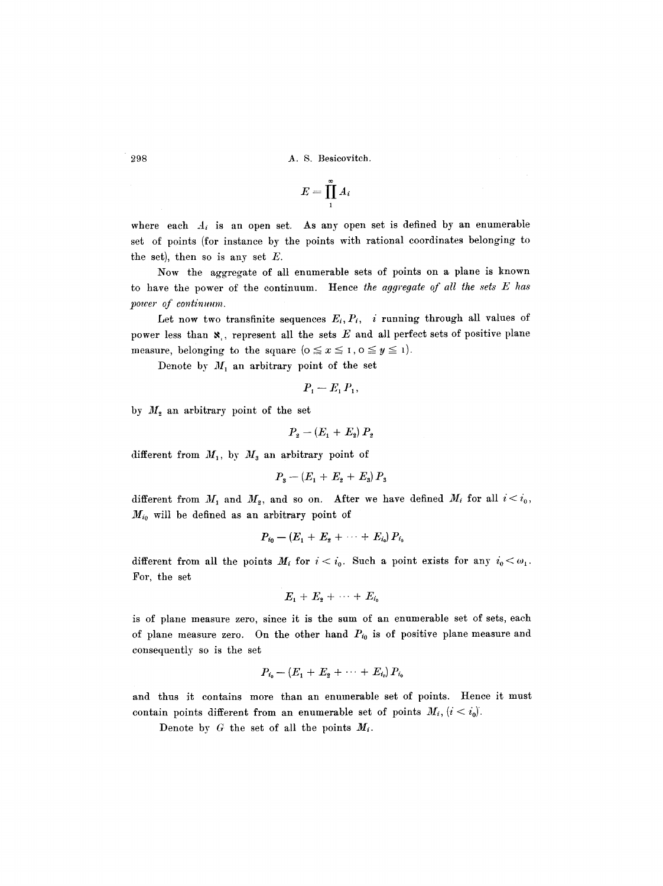$$
E=\prod_1^{\infty}A_i
$$

where each  $A_i$  is an open set. As any open set is defined by an enumerable set of points (for instance by the points with rational coordinates belonging to the set), then so is any set  $E$ .

Now the aggregate of all enumerable sets of points on a plane is known to have the power of the continuum. Hence *the aggregate of all the sets E has power of continuum.* 

Let now two transfinite sequences  $E_i, P_i$ , i running through all values of power less than  $\mathbf{x}$ , represent all the sets E and all perfect sets of positive plane measure, belonging to the square ( $0 \le x \le 1$ ,  $0 \le y \le 1$ ).

Denote by  $M_1$  an arbitrary point of the set

$$
P_1-E_1P_1,
$$

by  $M<sub>2</sub>$  an arbitrary point of the set

$$
P_2 - (E_1 + E_2) P_2
$$

different from  $M_1$ , by  $M_3$  an arbitrary point of

$$
P_{\rm s} - \left(E_{\rm 1} + E_{\rm 2} + E_{\rm 3}\right) P_{\rm 3}
$$

different from  $M_1$  and  $M_2$ , and so on. After we have defined  $M_i$  for all  $i < i_0$ ,  $M_{i_0}$  will be defined as an arbitrary point of

$$
P_{i_0}-(E_1+E_2+\cdots+E_{i_0})\,P_{i_0}
$$

different from all the points  $M_i$  for  $i < i_0$ . Such a point exists for any  $i_0 < \omega_1$ . For, the set

$$
E_1+E_2+\cdots+E_{i_0}
$$

is of plane measure zero, since it is the sum of an enumerable set of sets, each of plane measure zero. On the other hand  $P_{i_0}$  is of positive plane measure and consequently so is the set

$$
P_{i_0}-(E_1+E_2+\cdots+E_{i_0})\,P_{i_0}
$$

and thus it contains more than an enumerable set of points. Hence it must contain points different from an enumerable set of points  $M_i$ ,  $(i < i_0)$ .

Denote by  $G$  the set of all the points  $M_i$ .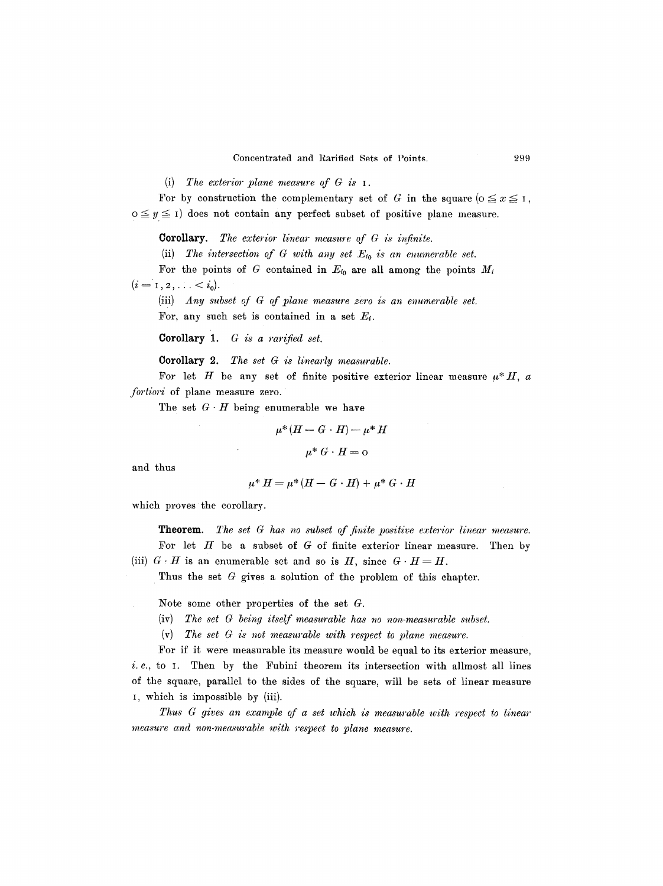(i) *The exterior plane measure of G is I.* 

For by construction the complementary set of G in the square  $(0 \le x \le 1,$  $o \leq y \leq 1$  does not contain any perfect subset of positive plane measure.

**Corollary.** The exterior linear measure of G is infinite.

(ii) The intersection of G with any set  $E_{i_0}$  is an enumerable set.

For the points of  $G$  contained in  $E_{i_0}$  are all among the points  $M_i$  $(i = 1, 2, \ldots < i_0).$ 

(iii) *Any subset of G of plane measure zero is an enumerable set.* For, any such set is contained in a set  $E_i$ .

Corollary *1. G is a rarified set.* 

 $\mathbb{Z}^d$ 

Corollary 2. The set G is linearly measurable.

For let H be any set of finite positive exterior linear measure  $\mu^*H$ , a *fortiori* of plane measure zero.

The set  $G \cdot H$  being enumerable we have

$$
\mu^*(H-G\cdot H)=\mu^*H
$$

$$
\mu^* G \cdot H = \text{o}
$$

and thus

$$
\mu^* H = \mu^* (H - G \cdot H) + \mu^* G \cdot H
$$

which proves the corollary.

**Theorem.** *The set G has no subset of finite positive exterior linear measure.*  For let  $H$  be a subset of  $G$  of finite exterior linear measure. Then by (iii)  $G \cdot H$  is an enumerable set and so is H, since  $G \cdot H = H$ .

Thus the set G gives a solution of the problem of this chapter.

Note some other properties of the set G.

- (iv) *The set G being itself measurable has no non-measurable subset.*
- (v) *The set G is not measurable with respect to plane measure.*

For if it were measurable its measure would be equal to its exterior measure, i.e., to I. Then by the Fubini theorem its intersection with allmost all lines of the square, parallel to the sides of the square, will be sets of linear measure I, which is impossible by (iii).

*Thus G gives an example of a set which is measurable with respect to linear measure and non-measurable with respect to plane measure.*